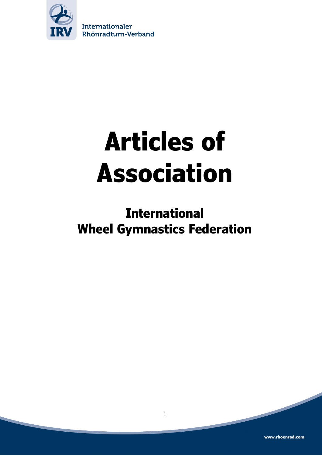

# **Articles of Association**

# **International Wheel Gymnastics Federation**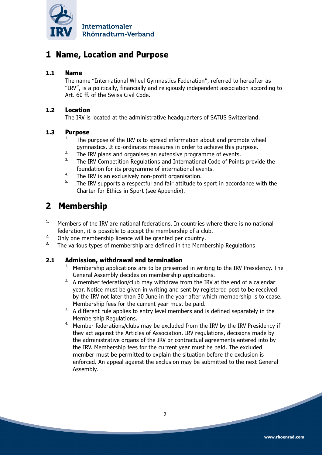

## **1 Name, Location and Purpose**

## **1.1 Name**

The name "International Wheel Gymnastics Federation", referred to hereafter as "IRV", is a politically, financially and religiously independent association according to Art. 60 ff. of the Swiss Civil Code.

## **1.2 Location**

The IRV is located at the administrative headquarters of SATUS Switzerland.

## **1.3 Purpose**

- The purpose of the IRV is to spread information about and promote wheel gymnastics. It co-ordinates measures in order to achieve this purpose.
- <sup>2.</sup> The IRV plans and organises an extensive programme of events.<br><sup>3.</sup> The IBV Compatition Bogulations and International Code of Beint
- The IRV Competition Regulations and International Code of Points provide the foundation for its programme of international events.
- 4. The IRV is an exclusively non-profit organisation.
- The IRV supports a respectful and fair attitude to sport in accordance with the Charter for Ethics in Sport (see Appendix).

## **2 Membership**

- <sup>1.</sup> Members of the IRV are national federations. In countries where there is no national federation, it is possible to accept the membership of a club.
- <sup>2.</sup> Only one membership licence will be granted per country.
- The various types of membership are defined in the Membership Regulations

### **2.1 Admission, withdrawal and termination**

- 1. Membership applications are to be presented in writing to the IRV Presidency. The General Assembly decides on membership applications.
- $2.$  A member federation/club may withdraw from the IRV at the end of a calendar year. Notice must be given in writing and sent by registered post to be received by the IRV not later than 30 June in the year after which membership is to cease. Membership fees for the current year must be paid.
- $3.$  A different rule applies to entry level members and is defined separately in the Membership Regulations.
- <sup>4.</sup> Member federations/clubs may be excluded from the IRV by the IRV Presidency if they act against the Articles of Association, IRV regulations, decisions made by the administrative organs of the IRV or contractual agreements entered into by the IRV. Membership fees for the current year must be paid. The excluded member must be permitted to explain the situation before the exclusion is enforced. An appeal against the exclusion may be submitted to the next General Assembly.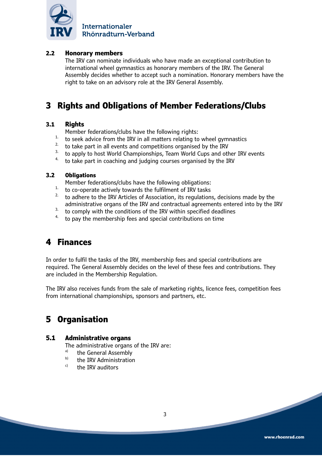

## **2.2 Honorary members**

The IRV can nominate individuals who have made an exceptional contribution to international wheel gymnastics as honorary members of the IRV. The General Assembly decides whether to accept such a nomination. Honorary members have the right to take on an advisory role at the IRV General Assembly.

## **3 Rights and Obligations of Member Federations/Clubs**

### **3.1 Rights**

Member federations/clubs have the following rights:

- <sup>1</sup> to seek advice from the IRV in all matters relating to wheel gymnastics
- <sup>2.</sup> to take part in all events and competitions organised by the IRV  $\frac{3}{2}$  to apply to best World Championships. Team World Cups and other
- to apply to host World Championships, Team World Cups and other IRV events
- $4.4$  to take part in coaching and judging courses organised by the IRV

#### **3.2 Obligations**

Member federations/clubs have the following obligations:

- <sup>1.</sup> to co-operate actively towards the fulfilment of IRV tasks
- 2. to adhere to the IRV Articles of Association, its regulations, decisions made by the administrative organs of the IRV and contractual agreements entered into by the IRV
- $3.$  to comply with the conditions of the IRV within specified deadlines
- to pay the membership fees and special contributions on time

## **4 Finances**

In order to fulfil the tasks of the IRV, membership fees and special contributions are required. The General Assembly decides on the level of these fees and contributions. They are included in the Membership Regulation.

The IRV also receives funds from the sale of marketing rights, licence fees, competition fees from international championships, sponsors and partners, etc.

## **5 Organisation**

### **5.1 Administrative organs**

The administrative organs of the IRV are:

- $\sum_{b}^{a}$  the General Assembly
- $\overrightarrow{b}$  the IRV Administration
- the IRV auditors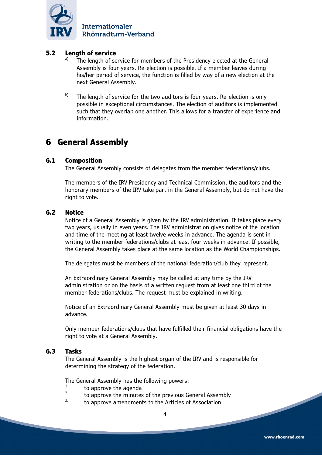

## **5.2 Length of service**

- The length of service for members of the Presidency elected at the General Assembly is four years. Re-election is possible. If a member leaves during his/her period of service, the function is filled by way of a new election at the next General Assembly.
- $b)$  The length of service for the two auditors is four years. Re-election is only possible in exceptional circumstances. The election of auditors is implemented such that they overlap one another. This allows for a transfer of experience and information.

## **6 General Assembly**

### **6.1 Composition**

The General Assembly consists of delegates from the member federations/clubs.

The members of the IRV Presidency and Technical Commission, the auditors and the honorary members of the IRV take part in the General Assembly, but do not have the right to vote.

#### **6.2 Notice**

Notice of a General Assembly is given by the IRV administration. It takes place every two years, usually in even years. The IRV administration gives notice of the location and time of the meeting at least twelve weeks in advance. The agenda is sent in writing to the member federations/clubs at least four weeks in advance. If possible, the General Assembly takes place at the same location as the World Championships.

The delegates must be members of the national federation/club they represent.

An Extraordinary General Assembly may be called at any time by the IRV administration or on the basis of a written request from at least one third of the member federations/clubs. The request must be explained in writing.

Notice of an Extraordinary General Assembly must be given at least 30 days in advance.

Only member federations/clubs that have fulfilled their financial obligations have the right to vote at a General Assembly.

#### **6.3 Tasks**

The General Assembly is the highest organ of the IRV and is responsible for determining the strategy of the federation.

The General Assembly has the following powers:<br>  $\frac{1}{2}$ 

- $\frac{1}{2}$  to approve the agenda
- <sup>2.</sup> to approve the minutes of the previous General Assembly  $\frac{3}{2}$
- to approve amendments to the Articles of Association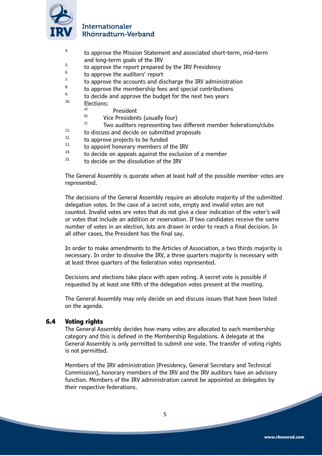

- 4. to approve the Mission Statement and associated short-term, mid-term and long-term goals of the IRV
- $5.$  to approve the report prepared by the IRV Presidency  $6.$
- $\frac{6}{7}$  to approve the auditors' report
- $7.$  to approve the accounts and discharge the IRV administration  $\frac{8.}{10}$
- $8.$  to approve the membership fees and special contributions
- $^{9}$  to decide and approve the budget for the next two years
- Elections:
	- $\overset{a)}{\longrightarrow}$  President
	- $\begin{bmatrix} b \end{bmatrix}$  Vice Presidents (usually four)
		- Two auditors representing two different member federations/clubs
- $11.$  to discuss and decide on submitted proposals
- $12.$  to approve projects to be funded<br> $13.$  to appoint benevally mambers of
- $13.$  to appoint honorary members of the IRV
- <sup>14</sup> to decide on appeals against the exclusion of a member
- to decide on the dissolution of the IRV

The General Assembly is quorate when at least half of the possible member votes are represented.

The decisions of the General Assembly require an absolute majority of the submitted delegation votes. In the case of a secret vote, empty and invalid votes are not counted. Invalid votes are votes that do not give a clear indication of the voter's will or votes that include an addition or reservation. If two candidates receive the same number of votes in an election, lots are drawn in order to reach a final decision. In all other cases, the President has the final say.

In order to make amendments to the Articles of Association, a two thirds majority is necessary. In order to dissolve the IRV, a three quarters majority is necessary with at least three quarters of the federation votes represented.

Decisions and elections take place with open voting. A secret vote is possible if requested by at least one fifth of the delegation votes present at the meeting.

The General Assembly may only decide on and discuss issues that have been listed on the agenda.

## **6.4 Voting rights**

The General Assembly decides how many votes are allocated to each membership category and this is defined in the Membership Regulations. A delegate at the General Assembly is only permitted to submit one vote. The transfer of voting rights is not permitted.

Members of the IRV administration (Presidency, General Secretary and Technical Commission), honorary members of the IRV and the IRV auditors have an advisory function. Members of the IRV administration cannot be appointed as delegates by their respective federations.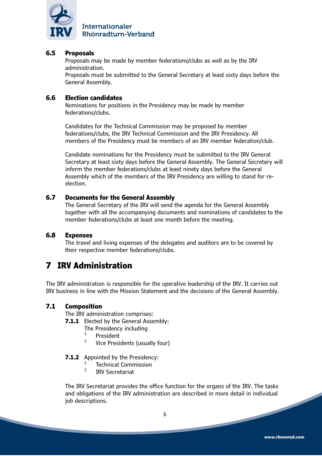

## **6.5 Proposals**

Proposals may be made by member federations/clubs as well as by the IRV administration.

Proposals must be submitted to the General Secretary at least sixty days before the General Assembly.

#### **6.6 Election candidates**

Nominations for positions in the Presidency may be made by member federations/clubs.

Candidates for the Technical Commission may be proposed by member federations/clubs, the IRV Technical Commission and the IRV Presidency. All members of the Presidency must be members of an IRV member federation/club.

Candidate nominations for the Presidency must be submitted to the IRV General Secretary at least sixty days before the General Assembly. The General Secretary will inform the member federations/clubs at least ninety days before the General Assembly which of the members of the IRV Presidency are willing to stand for reelection.

### **6.7 Documents for the General Assembly**

The General Secretary of the IRV will send the agenda for the General Assembly together with all the accompanying documents and nominations of candidates to the member federations/clubs at least one month before the meeting.

#### **6.8 Expenses**

The travel and living expenses of the delegates and auditors are to be covered by their respective member federations/clubs.

## **7 IRV Administration**

The IRV administration is responsible for the operative leadership of the IRV. It carries out IRV business in line with the Mission Statement and the decisions of the General Assembly.

### **7.1 Composition**

The IRV administration comprises:

**7.1.1** Elected by the General Assembly:

- The Presidency including
- $\frac{1}{2}$ . President
- Vice Presidents (usually four)
- **7.1.2** Appointed by the Presidency:
	- <sup>1.</sup> Technical Commission
		- IRV Secretariat

The IRV Secretariat provides the office function for the organs of the IRV. The tasks and obligations of the IRV administration are described in more detail in individual job descriptions.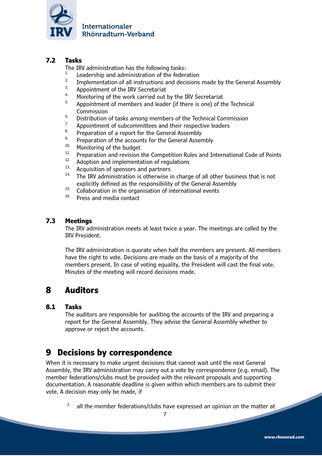

## **7.2 Tasks**

The IRV administration has the following tasks:

- <sup>1.</sup> Leadership and administration of the federation
- <sup>2.</sup> Implementation of all instructions and decisions made by the General Assembly  $\frac{3}{2}$ .
- $3.$  Appointment of the IRV Secretariat
- <sup>4.</sup> Monitoring of the work carried out by the IRV Secretariat  $\frac{5}{10}$ . Appointment of mombers and loader (if there is ano) of the
- Appointment of members and leader (if there is one) of the Technical Commission
- <sup>6.</sup> Distribution of tasks among members of the Technical Commission
- <sup>7.</sup> Appointment of subcommittees and their respective leaders  $\frac{8}{100}$ .
- <sup>8.</sup> Preparation of a report for the General Assembly<br> $\frac{9}{2}$ . Preparation of the assemble for the General Assem-
- <sup>9.</sup> Preparation of the accounts for the General Assembly  $10$ . Monitoring of the budget
- $10$ . Monitoring of the budget
- <sup>11.</sup> Preparation and revision the Competition Rules and International Code of Points  $12$ .
- $\frac{12}{13}$ . Adoption and implementation of regulations
- <sup>13.</sup> Acquisition of sponsors and partners  $14.$  The IPV administration is otherwise i.
- The IRV administration is otherwise in charge of all other business that is not explicitly defined as the responsibility of the General Assembly
- <sup>15.</sup> Collaboration in the organisation of international events  $16$ . Bross and modia contact
- Press and media contact

### **7.3 Meetings**

The IRV administration meets at least twice a year. The meetings are called by the IRV President.

The IRV administration is quorate when half the members are present. All members have the right to vote. Decisions are made on the basis of a majority of the members present. In case of voting equality, the President will cast the final vote. Minutes of the meeting will record decisions made.

## **8 Auditors**

### **8.1 Tasks**

The auditors are responsible for auditing the accounts of the IRV and preparing a report for the General Assembly. They advise the General Assembly whether to approve or reject the accounts.

## **9 Decisions by correspondence**

When it is necessary to make urgent decisions that cannot wait until the next General Assembly, the IRV administration may carry out a vote by correspondence (e.g. email). The member federations/clubs must be provided with the relevant proposals and supporting documentation. A reasonable deadline is given within which members are to submit their vote. A decision may only be made, if

 $1.$  all the member federations/clubs have expressed an opinion on the matter at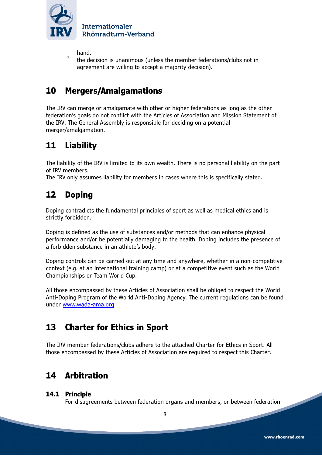

hand.

<sup>2.</sup> the decision is unanimous (unless the member federations/clubs not in agreement are willing to accept a majority decision).

## **10 Mergers/Amalgamations**

The IRV can merge or amalgamate with other or higher federations as long as the other federation's goals do not conflict with the Articles of Association and Mission Statement of the IRV. The General Assembly is responsible for deciding on a potential merger/amalgamation.

## **11 Liability**

The liability of the IRV is limited to its own wealth. There is no personal liability on the part of IRV members.

The IRV only assumes liability for members in cases where this is specifically stated.

## **12 Doping**

Doping contradicts the fundamental principles of sport as well as medical ethics and is strictly forbidden.

Doping is defined as the use of substances and/or methods that can enhance physical performance and/or be potentially damaging to the health. Doping includes the presence of a forbidden substance in an athlete's body.

Doping controls can be carried out at any time and anywhere, whether in a non-competitive context (e.g. at an international training camp) or at a competitive event such as the World Championships or Team World Cup.

All those encompassed by these Articles of Association shall be obliged to respect the World Anti-Doping Program of the World Anti-Doping Agency. The current regulations can be found under www.wada-ama.org

## **13 Charter for Ethics in Sport**

The IRV member federations/clubs adhere to the attached Charter for Ethics in Sport. All those encompassed by these Articles of Association are required to respect this Charter.

## **14 Arbitration**

### **14.1 Principle**

For disagreements between federation organs and members, or between federation

8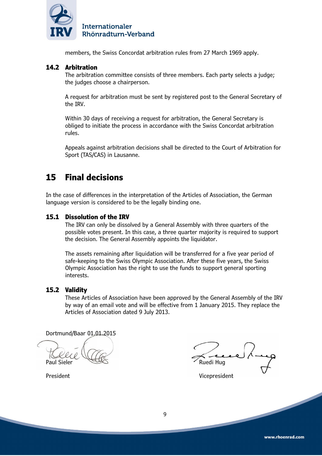

members, the Swiss Concordat arbitration rules from 27 March 1969 apply.

### **14.2 Arbitration**

The arbitration committee consists of three members. Each party selects a judge; the judges choose a chairperson.

A request for arbitration must be sent by registered post to the General Secretary of the IRV.

Within 30 days of receiving a request for arbitration, the General Secretary is obliged to initiate the process in accordance with the Swiss Concordat arbitration rules.

Appeals against arbitration decisions shall be directed to the Court of Arbitration for Sport (TAS/CAS) in Lausanne.

## **15 Final decisions**

In the case of differences in the interpretation of the Articles of Association, the German language version is considered to be the legally binding one.

#### **15.1 Dissolution of the IRV**

The IRV can only be dissolved by a General Assembly with three quarters of the possible votes present. In this case, a three quarter majority is required to support the decision. The General Assembly appoints the liquidator.

The assets remaining after liquidation will be transferred for a five year period of safe-keeping to the Swiss Olympic Association. After these five years, the Swiss Olympic Association has the right to use the funds to support general sporting interests.

#### **15.2 Validity**

These Articles of Association have been approved by the General Assembly of the IRV by way of an email vote and will be effective from 1 January 2015. They replace the Articles of Association dated 9 July 2013.

Dortmund/Baar 01.01.2015

Paul Sieler **Ruedi Hugher** Ruedi Hugher

President Vicepresident

9